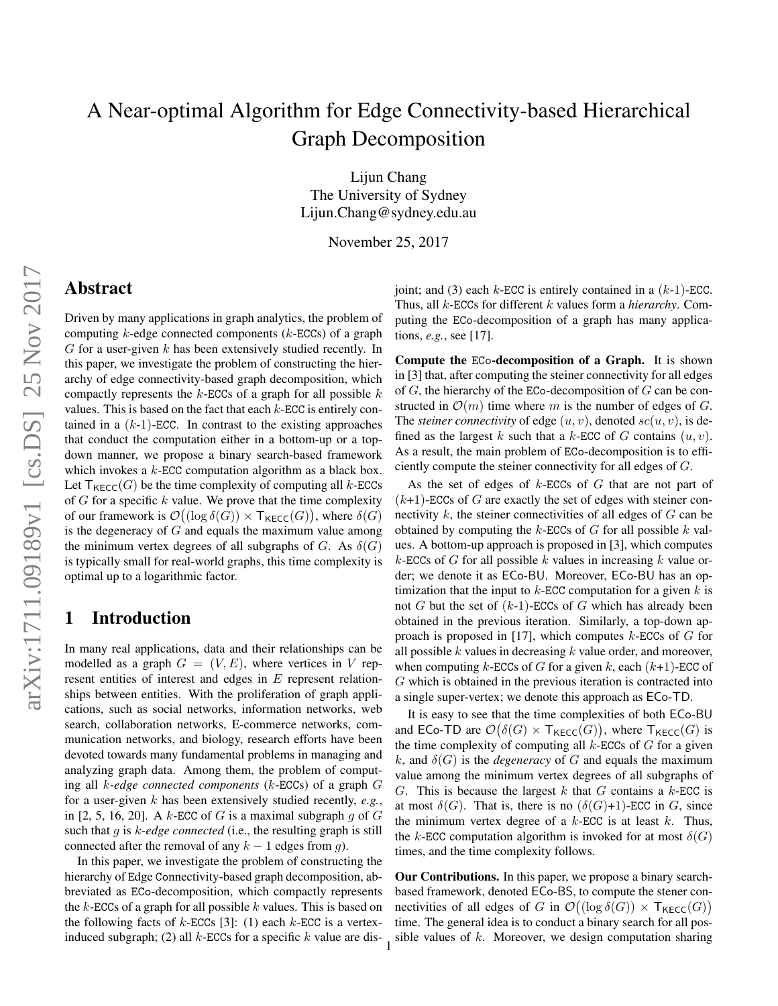# A Near-optimal Algorithm for Edge Connectivity-based Hierarchical Graph Decomposition

Lijun Chang The University of Sydney Lijun.Chang@sydney.edu.au

November 25, 2017

## Abstract

Driven by many applications in graph analytics, the problem of computing  $k$ -edge connected components ( $k$ -ECCs) of a graph  $G$  for a user-given  $k$  has been extensively studied recently. In this paper, we investigate the problem of constructing the hierarchy of edge connectivity-based graph decomposition, which compactly represents the  $k$ -ECCs of a graph for all possible  $k$ values. This is based on the fact that each  $k$ -ECC is entirely contained in a  $(k-1)$ -ECC. In contrast to the existing approaches that conduct the computation either in a bottom-up or a topdown manner, we propose a binary search-based framework which invokes a  $k$ -ECC computation algorithm as a black box. Let  $T_{\text{KECC}}(G)$  be the time complexity of computing all k-ECCs of  $G$  for a specific  $k$  value. We prove that the time complexity of our framework is  $\mathcal{O}((\log \delta(G)) \times \mathsf{T}_{\mathsf{KECC}}(G))$ , where  $\delta(G)$ is the degeneracy of  $G$  and equals the maximum value among the minimum vertex degrees of all subgraphs of G. As  $\delta(G)$ is typically small for real-world graphs, this time complexity is optimal up to a logarithmic factor.

#### 1 Introduction

In many real applications, data and their relationships can be modelled as a graph  $G = (V, E)$ , where vertices in V represent entities of interest and edges in  $E$  represent relationships between entities. With the proliferation of graph applications, such as social networks, information networks, web search, collaboration networks, E-commerce networks, communication networks, and biology, research efforts have been devoted towards many fundamental problems in managing and analyzing graph data. Among them, the problem of computing all k*-edge connected components* (k-ECCs) of a graph G for a user-given k has been extensively studied recently, *e.g.*, in [2, 5, 16, 20]. A k-ECC of G is a maximal subgraph g of G such that g is k*-edge connected* (i.e., the resulting graph is still connected after the removal of any  $k - 1$  edges from g).

In this paper, we investigate the problem of constructing the hierarchy of Edge Connectivity-based graph decomposition, abbreviated as ECo-decomposition, which compactly represents the  $k$ -ECCs of a graph for all possible  $k$  values. This is based on the following facts of  $k$ -ECCs [3]: (1) each  $k$ -ECC is a vertexinduced subgraph; (2) all  $k$ -ECCs for a specific  $k$  value are disjoint; and (3) each  $k$ -ECC is entirely contained in a  $(k-1)$ -ECC. Thus, all k-ECCs for different k values form a *hierarchy*. Computing the ECo-decomposition of a graph has many applications, *e.g.*, see [17].

Compute the ECo-decomposition of a Graph. It is shown in [3] that, after computing the steiner connectivity for all edges of  $G$ , the hierarchy of the ECo-decomposition of  $G$  can be constructed in  $\mathcal{O}(m)$  time where m is the number of edges of G. The *steiner connectivity* of edge  $(u, v)$ , denoted  $sc(u, v)$ , is defined as the largest k such that a k-ECC of G contains  $(u, v)$ . As a result, the main problem of ECo-decomposition is to efficiently compute the steiner connectivity for all edges of G.

As the set of edges of  $k$ -ECCs of  $G$  that are not part of  $(k+1)$ -ECCs of G are exactly the set of edges with steiner connectivity  $k$ , the steiner connectivities of all edges of  $G$  can be obtained by computing the  $k$ -ECCs of  $G$  for all possible  $k$  values. A bottom-up approach is proposed in [3], which computes  $k$ -ECCs of G for all possible k values in increasing k value order; we denote it as ECo-BU. Moreover, ECo-BU has an optimization that the input to  $k$ -ECC computation for a given  $k$  is not G but the set of  $(k-1)$ -ECCs of G which has already been obtained in the previous iteration. Similarly, a top-down approach is proposed in [17], which computes  $k$ -ECCs of  $G$  for all possible  $k$  values in decreasing  $k$  value order, and moreover, when computing k-ECCs of G for a given k, each  $(k+1)$ -ECC of G which is obtained in the previous iteration is contracted into a single super-vertex; we denote this approach as ECo-TD.

It is easy to see that the time complexities of both ECo-BU and ECo-TD are  $\mathcal{O}(\delta(G) \times \mathsf{T}_{\mathsf{KECC}}(G))$ , where  $\mathsf{T}_{\mathsf{KECC}}(G)$  is the time complexity of computing all  $k$ -ECCs of  $G$  for a given k, and  $\delta(G)$  is the *degeneracy* of G and equals the maximum value among the minimum vertex degrees of all subgraphs of G. This is because the largest k that G contains a k-ECC is at most  $\delta(G)$ . That is, there is no  $(\delta(G)+1)$ -ECC in G, since the minimum vertex degree of a  $k$ -ECC is at least  $k$ . Thus, the k-ECC computation algorithm is invoked for at most  $\delta(G)$ times, and the time complexity follows.

Our Contributions. In this paper, we propose a binary searchbased framework, denoted ECo-BS, to compute the stener connectivities of all edges of G in  $\mathcal{O}((\log \delta(G)) \times \mathsf{T}_{\mathsf{KECC}}(G))$ time. The general idea is to conduct a binary search for all possible values of  $k$ . Moreover, we design computation sharing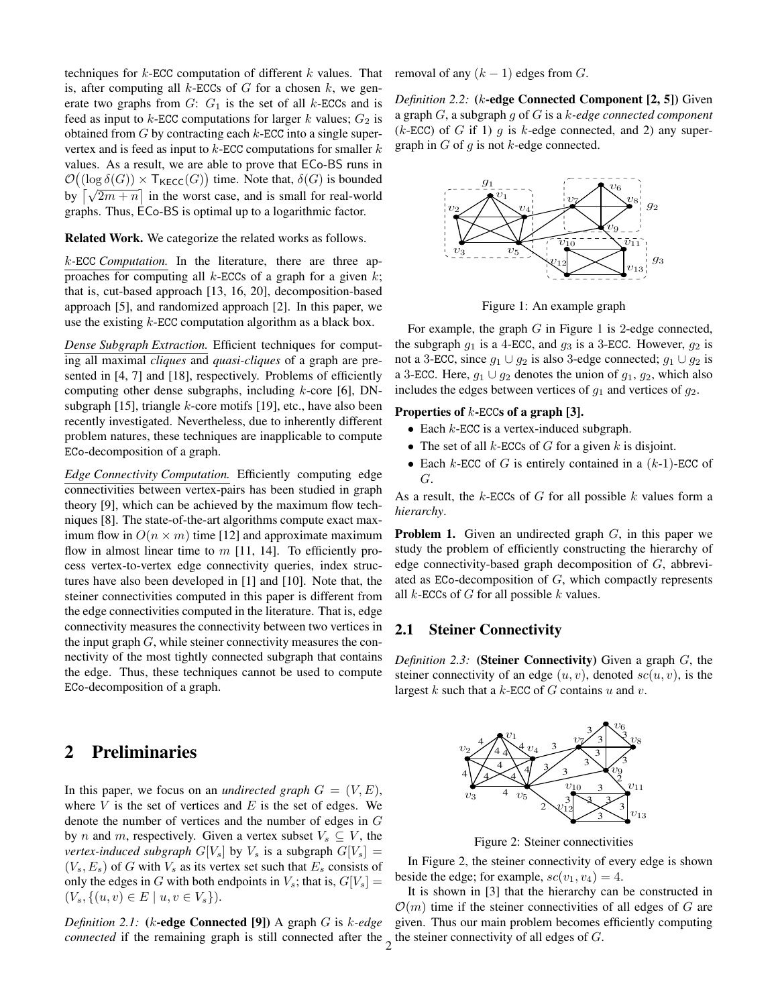techniques for  $k$ -ECC computation of different k values. That is, after computing all  $k$ -ECCs of  $G$  for a chosen  $k$ , we generate two graphs from  $G: G_1$  is the set of all k-ECCs and is feed as input to  $k$ -ECC computations for larger  $k$  values;  $G_2$  is obtained from  $G$  by contracting each  $k$ -ECC into a single supervertex and is feed as input to  $k$ -ECC computations for smaller  $k$ values. As a result, we are able to prove that ECo-BS runs in  $\mathcal{O}((\log \delta(G)) \times \mathsf{T}_{\mathsf{KECC}}(G))$  time. Note that,  $\delta(G)$  is bounded by  $\sqrt{\sqrt{2m+n}}$  in the worst case, and is small for real-world graphs. Thus, ECo-BS is optimal up to a logarithmic factor.

Related Work. We categorize the related works as follows.

k*-*ECC *Computation.* In the literature, there are three approaches for computing all  $k$ -ECCs of a graph for a given  $k$ ; that is, cut-based approach [13, 16, 20], decomposition-based approach [5], and randomized approach [2]. In this paper, we use the existing  $k$ -ECC computation algorithm as a black box.

*Dense Subgraph Extraction.* Efficient techniques for computing all maximal *cliques* and *quasi-cliques* of a graph are presented in [4, 7] and [18], respectively. Problems of efficiently computing other dense subgraphs, including  $k$ -core [6], DNsubgraph [15], triangle  $k$ -core motifs [19], etc., have also been recently investigated. Nevertheless, due to inherently different problem natures, these techniques are inapplicable to compute ECo-decomposition of a graph.

*Edge Connectivity Computation.* Efficiently computing edge connectivities between vertex-pairs has been studied in graph theory [9], which can be achieved by the maximum flow techniques [8]. The state-of-the-art algorithms compute exact maximum flow in  $O(n \times m)$  time [12] and approximate maximum flow in almost linear time to  $m$  [11, 14]. To efficiently process vertex-to-vertex edge connectivity queries, index structures have also been developed in [1] and [10]. Note that, the steiner connectivities computed in this paper is different from the edge connectivities computed in the literature. That is, edge connectivity measures the connectivity between two vertices in the input graph  $G$ , while steiner connectivity measures the connectivity of the most tightly connected subgraph that contains the edge. Thus, these techniques cannot be used to compute ECo-decomposition of a graph.

### 2 Preliminaries

In this paper, we focus on an *undirected graph*  $G = (V, E)$ , where  $V$  is the set of vertices and  $E$  is the set of edges. We denote the number of vertices and the number of edges in G by n and m, respectively. Given a vertex subset  $V_s \subseteq V$ , the *vertex-induced subgraph*  $G[V_s]$  by  $V_s$  is a subgraph  $G[V_s] =$  $(V_s, E_s)$  of G with  $V_s$  as its vertex set such that  $E_s$  consists of only the edges in G with both endpoints in  $V_s$ ; that is,  $G[V_s] =$  $(V_s, \{(u, v) \in E \mid u, v \in V_s\}).$ 

*Definition 2.1:* (k-edge Connected [9]) A graph G is k*-edge connected* if the remaining graph is still connected after the  $\frac{1}{2}$  the steiner connectivity of all edges of G.

removal of any  $(k - 1)$  edges from G.

*Definition 2.2:* (k-edge Connected Component [2, 5]) Given a graph G, a subgraph g of G is a k*-edge connected component* ( $k$ -ECC) of G if 1) g is  $k$ -edge connected, and 2) any supergraph in  $G$  of  $g$  is not  $k$ -edge connected.



Figure 1: An example graph

For example, the graph  $G$  in Figure 1 is 2-edge connected, the subgraph  $g_1$  is a 4-ECC, and  $g_3$  is a 3-ECC. However,  $g_2$  is not a 3-ECC, since  $g_1 \cup g_2$  is also 3-edge connected;  $g_1 \cup g_2$  is a 3-ECC. Here,  $g_1 \cup g_2$  denotes the union of  $g_1, g_2$ , which also includes the edges between vertices of  $g_1$  and vertices of  $g_2$ .

#### Properties of  $k$ -ECCs of a graph [3].

- Each  $k$ -ECC is a vertex-induced subgraph.
- The set of all  $k$ -ECCs of  $G$  for a given  $k$  is disjoint.
- Each  $k$ -ECC of G is entirely contained in a  $(k-1)$ -ECC of G.

As a result, the  $k$ -ECCs of  $G$  for all possible  $k$  values form a *hierarchy*.

**Problem 1.** Given an undirected graph  $G$ , in this paper we study the problem of efficiently constructing the hierarchy of edge connectivity-based graph decomposition of G, abbreviated as ECo-decomposition of G, which compactly represents all  $k$ -ECCs of  $G$  for all possible  $k$  values.

#### 2.1 Steiner Connectivity

*Definition 2.3:* (Steiner Connectivity) Given a graph G, the steiner connectivity of an edge  $(u, v)$ , denoted  $sc(u, v)$ , is the largest  $k$  such that a  $k$ -ECC of  $G$  contains  $u$  and  $v$ .



Figure 2: Steiner connectivities

In Figure 2, the steiner connectivity of every edge is shown beside the edge; for example,  $sc(v_1, v_4) = 4$ .

It is shown in [3] that the hierarchy can be constructed in  $\mathcal{O}(m)$  time if the steiner connectivities of all edges of G are given. Thus our main problem becomes efficiently computing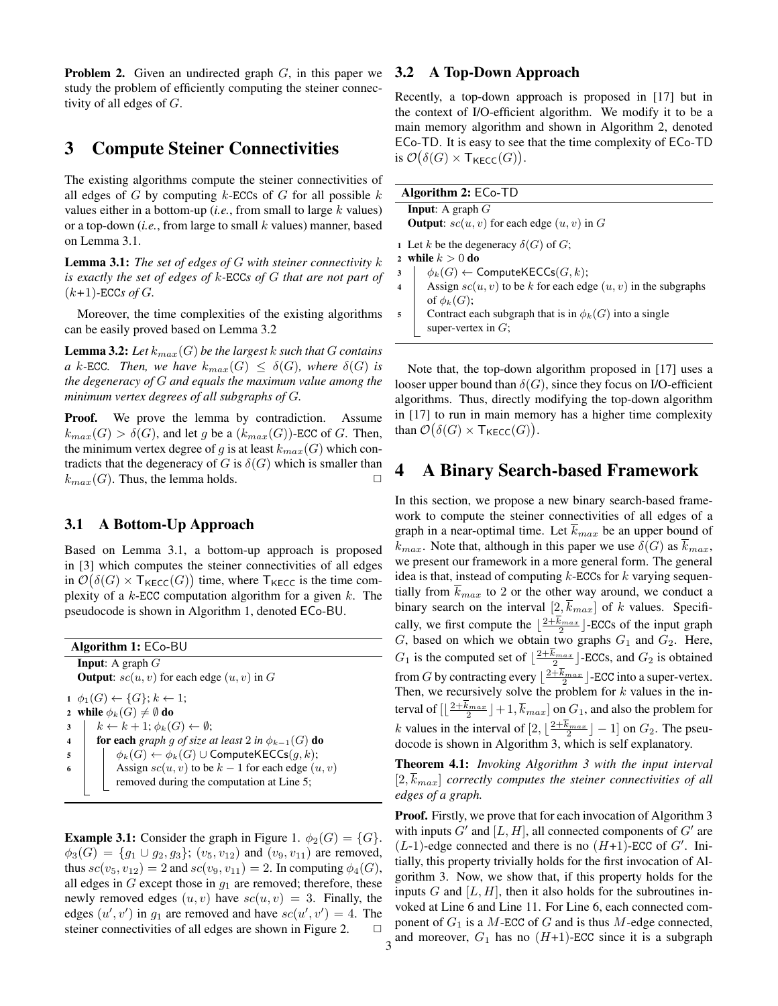**Problem 2.** Given an undirected graph  $G$ , in this paper we study the problem of efficiently computing the steiner connectivity of all edges of G.

### 3 Compute Steiner Connectivities

The existing algorithms compute the steiner connectivities of all edges of  $G$  by computing  $k$ -ECCs of  $G$  for all possible  $k$ values either in a bottom-up (*i.e.*, from small to large  $k$  values) or a top-down (*i.e.*, from large to small k values) manner, based on Lemma 3.1.

Lemma 3.1: *The set of edges of* G *with steiner connectivity* k *is exactly the set of edges of* k*-*ECC*s of* G *that are not part of*  $(k+1)$ -ECC*s* of  $G$ .

Moreover, the time complexities of the existing algorithms can be easily proved based on Lemma 3.2

**Lemma 3.2:** Let  $k_{max}(G)$  be the largest k such that G contains *a* k-ECC. Then, we have  $k_{max}(G) \leq \delta(G)$ , where  $\delta(G)$  is *the degeneracy of* G *and equals the maximum value among the minimum vertex degrees of all subgraphs of* G*.*

Proof. We prove the lemma by contradiction. Assume  $k_{max}(G) > \delta(G)$ , and let g be a  $(k_{max}(G))$ -ECC of G. Then, the minimum vertex degree of g is at least  $k_{max}(G)$  which contradicts that the degeneracy of G is  $\delta(G)$  which is smaller than  $k_{max}(G)$ . Thus, the lemma holds.  $\Box$ 

#### 3.1 A Bottom-Up Approach

Based on Lemma 3.1, a bottom-up approach is proposed in [3] which computes the steiner connectivities of all edges in  $\mathcal{O}(\delta(G) \times T_{\text{KECC}}(G))$  time, where  $T_{\text{KECC}}$  is the time complexity of a  $k$ -ECC computation algorithm for a given  $k$ . The pseudocode is shown in Algorithm 1, denoted ECo-BU.

| <b>Algorithm 1: ECo-BU</b> |                                                                         |  |
|----------------------------|-------------------------------------------------------------------------|--|
| <b>Input:</b> A graph $G$  |                                                                         |  |
|                            | <b>Output:</b> $\mathfrak{so}(u, v)$ for each edge $(u, v)$ in G        |  |
|                            | $1 \phi_1(G) \leftarrow \{G\}; k \leftarrow 1;$                         |  |
|                            | 2 while $\phi_k(G) \neq \emptyset$ do                                   |  |
| 3                          | $k \leftarrow k + 1; \phi_k(G) \leftarrow \emptyset;$                   |  |
| $\overline{\mathbf{4}}$    | <b>for each</b> graph q of size at least 2 in $\phi_{k-1}(G)$ <b>do</b> |  |
| -5                         | $\phi_k(G) \leftarrow \phi_k(G) \cup \text{ComputeKECCs}(g, k);$        |  |
| 6                          | Assign $sc(u, v)$ to be $k - 1$ for each edge $(u, v)$                  |  |
|                            | removed during the computation at Line 5;                               |  |

**Example 3.1:** Consider the graph in Figure 1.  $\phi_2(G) = \{G\}.$  $\phi_3(G) = \{g_1 \cup g_2, g_3\}; (v_5, v_{12})$  and  $(v_9, v_{11})$  are removed, thus  $sc(v_5, v_{12}) = 2$  and  $sc(v_9, v_{11}) = 2$ . In computing  $\phi_4(G)$ , all edges in  $G$  except those in  $q_1$  are removed; therefore, these newly removed edges  $(u, v)$  have  $sc(u, v) = 3$ . Finally, the edges  $(u', v')$  in  $g_1$  are removed and have  $sc(u', v') = 4$ . The steiner connectivities of all edges are shown in Figure 2.

#### 3.2 A Top-Down Approach

Recently, a top-down approach is proposed in [17] but in the context of I/O-efficient algorithm. We modify it to be a main memory algorithm and shown in Algorithm 2, denoted ECo-TD. It is easy to see that the time complexity of ECo-TD is  $\mathcal{O}(\delta(G) \times \mathsf{T}_{\mathsf{KECC}}(G)).$ 

| <b>Algorithm 2: ECo-TD</b>                            |                                                                   |  |
|-------------------------------------------------------|-------------------------------------------------------------------|--|
|                                                       | <b>Input:</b> A graph $G$                                         |  |
| <b>Output:</b> $sc(u, v)$ for each edge $(u, v)$ in G |                                                                   |  |
|                                                       | 1 Let k be the degeneracy $\delta(G)$ of G;<br>while $k > 0$ do   |  |
| 3                                                     | $\phi_k(G) \leftarrow$ ComputeKECCs $(G, k)$ ;                    |  |
| $\overline{\mathbf{4}}$                               | Assign $sc(u, v)$ to be k for each edge $(u, v)$ in the subgraphs |  |
|                                                       | of $\phi_k(G)$ ;                                                  |  |
| 5                                                     | Contract each subgraph that is in $\phi_k(G)$ into a single       |  |
|                                                       | super-vertex in $G$ ;                                             |  |

Note that, the top-down algorithm proposed in [17] uses a looser upper bound than  $\delta(G)$ , since they focus on I/O-efficient algorithms. Thus, directly modifying the top-down algorithm in [17] to run in main memory has a higher time complexity than  $\mathcal{O}(\delta(G) \times \mathsf{T}_{\mathsf{KECC}}(G)).$ 

#### 4 A Binary Search-based Framework

In this section, we propose a new binary search-based framework to compute the steiner connectivities of all edges of a graph in a near-optimal time. Let  $\overline{k}_{max}$  be an upper bound of  $k_{max}$ . Note that, although in this paper we use  $\delta(G)$  as  $k_{max}$ , we present our framework in a more general form. The general idea is that, instead of computing  $k$ -ECCs for  $k$  varying sequentially from  $k_{max}$  to 2 or the other way around, we conduct a binary search on the interval  $[2, \overline{k}_{max}]$  of k values. Specifically, we first compute the  $\lfloor \frac{2+k_{max}}{2} \rfloor$ -ECCs of the input graph G, based on which we obtain two graphs  $G_1$  and  $G_2$ . Here,  $G_1$  is the computed set of  $\lfloor \frac{2+k_{max}}{2} \rfloor$ -ECCs, and  $G_2$  is obtained from G by contracting every  $\lfloor \frac{2+k_{max}}{2} \rfloor$ -ECC into a super-vertex. Then, we recursively solve the problem for  $k$  values in the interval of  $\left[\left\lfloor \frac{2+k_{max}}{2}\right\rfloor +1,\overline{k}_{max}\right]$  on  $G_1$ , and also the problem for k values in the interval of  $[2, \lfloor \frac{2+k_{max}}{2} \rfloor - 1]$  on  $G_2$ . The pseudocode is shown in Algorithm 3, which is self explanatory.

Theorem 4.1: *Invoking Algorithm 3 with the input interval*  $[2, k_{max}]$  *correctly computes the steiner connectivities of all edges of a graph.*

Proof. Firstly, we prove that for each invocation of Algorithm 3 with inputs  $G'$  and  $[L, H]$ , all connected components of  $G'$  are  $(L-1)$ -edge connected and there is no  $(H+1)$ -ECC of G'. Initially, this property trivially holds for the first invocation of Algorithm 3. Now, we show that, if this property holds for the inputs G and  $[L, H]$ , then it also holds for the subroutines invoked at Line 6 and Line 11. For Line 6, each connected component of  $G_1$  is a M-ECC of G and is thus M-edge connected, 3 and moreover,  $G_1$  has no  $(H+1)$ -ECC since it is a subgraph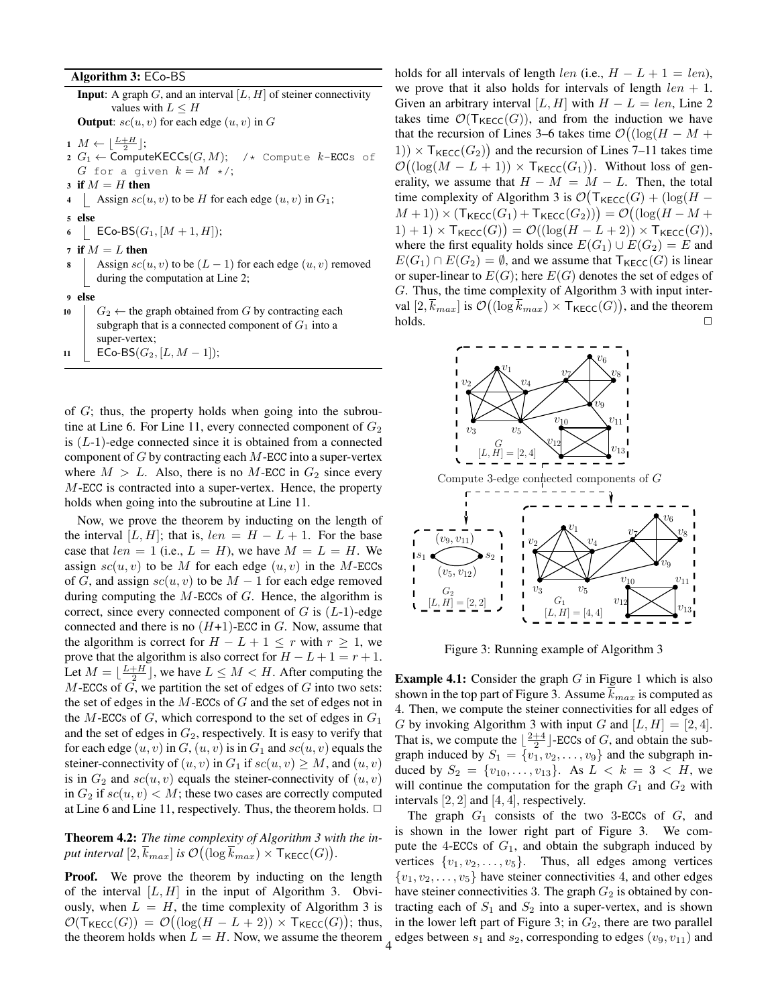#### Algorithm 3: ECo-BS

**Input:** A graph  $G$ , and an interval  $[L, H]$  of steiner connectivity values with  $L \leq H$ **Output**:  $\mathfrak{so}(u, v)$  for each edge  $(u, v)$  in G  $1 M \leftarrow \lfloor \frac{L+H}{2} \rfloor;$  $2 G_1 \leftarrow$  ComputeKECCs $(G, M);$  /\* Compute k-ECCs of G for a given  $k = M \star$ ; 3 if  $M = H$  then 4 | Assign  $sc(u, v)$  to be H for each edge  $(u, v)$  in  $G_1$ ; <sup>5</sup> else 6 | ECo-BS $(G_1, [M+1, H])$ ; 7 if  $M = L$  then Assign  $sc(u, v)$  to be  $(L - 1)$  for each edge  $(u, v)$  removed during the computation at Line 2; <sup>9</sup> else 10  $\Big|$   $G_2 \leftarrow$  the graph obtained from G by contracting each subgraph that is a connected component of  $G_1$  into a super-vertex;

11 | ECo-BS( $G_2$ ,  $[L, M-1]$ );

of  $G$ ; thus, the property holds when going into the subroutine at Line 6. For Line 11, every connected component of  $G_2$ is  $(L-1)$ -edge connected since it is obtained from a connected component of  $G$  by contracting each  $M$ -ECC into a super-vertex where  $M > L$ . Also, there is no M-ECC in  $G_2$  since every M-ECC is contracted into a super-vertex. Hence, the property holds when going into the subroutine at Line 11.

Now, we prove the theorem by inducting on the length of the interval [L, H]; that is,  $len = H - L + 1$ . For the base case that  $len = 1$  (i.e.,  $L = H$ ), we have  $M = L = H$ . We assign  $sc(u, v)$  to be M for each edge  $(u, v)$  in the M-ECCs of G, and assign  $sc(u, v)$  to be  $M - 1$  for each edge removed during computing the  $M$ -ECCs of  $G$ . Hence, the algorithm is correct, since every connected component of  $G$  is  $(L-1)$ -edge connected and there is no  $(H+1)$ -ECC in G. Now, assume that the algorithm is correct for  $H - L + 1 \leq r$  with  $r \geq 1$ , we prove that the algorithm is also correct for  $H - L + 1 = r + 1$ . Let  $M = \lfloor \frac{L+H}{2} \rfloor$ , we have  $L \leq M < H$ . After computing the  $M$ -ECCs of  $G$ , we partition the set of edges of  $G$  into two sets: the set of edges in the  $M$ -ECCs of  $G$  and the set of edges not in the  $M$ -ECCs of  $G$ , which correspond to the set of edges in  $G_1$ and the set of edges in  $G_2$ , respectively. It is easy to verify that for each edge  $(u, v)$  in  $G, (u, v)$  is in  $G_1$  and  $sc(u, v)$  equals the steiner-connectivity of  $(u, v)$  in  $G_1$  if  $sc(u, v) \geq M$ , and  $(u, v)$ is in  $G_2$  and  $sc(u, v)$  equals the steiner-connectivity of  $(u, v)$ in  $G_2$  if  $\mathfrak{so}(u, v) < M$ ; these two cases are correctly computed at Line 6 and Line 11, respectively. Thus, the theorem holds.  $\Box$ 

Theorem 4.2: *The time complexity of Algorithm 3 with the in*put interval  $[2,\overline{k}_{max}]$  is  $\mathcal{O}((\log \overline{k}_{max}) \times \mathsf{T}_{\mathsf{KECC}}(G)).$ 

**Proof.** We prove the theorem by inducting on the length of the interval  $[L, H]$  in the input of Algorithm 3. Obviously, when  $L = H$ , the time complexity of Algorithm 3 is  $\mathcal{O}(\mathsf{T}_{\mathsf{KECC}}(G)) = \mathcal{O}((\log(H - L + 2)) \times \mathsf{T}_{\mathsf{KECC}}(G));$  thus, the theorem holds when  $L = H$ . Now, we assume the theorem

holds for all intervals of length *len* (i.e.,  $H - L + 1 = len$ ), we prove that it also holds for intervals of length  $len + 1$ . Given an arbitrary interval [L, H] with  $H - L = len$ , Line 2 takes time  $\mathcal{O}(\mathsf{T}_{\mathsf{KECC}}(G))$ , and from the induction we have that the recursion of Lines 3–6 takes time  $\mathcal{O}((\log(H - M +$ 1)  $\times$  T<sub>KECC</sub>(G<sub>2</sub>)) and the recursion of Lines 7–11 takes time  $\mathcal{O}((\log(M - L + 1)) \times \mathsf{T}_{\mathsf{KECC}}(G_1)).$  Without loss of generality, we assume that  $H - M = M - L$ . Then, the total time complexity of Algorithm 3 is  $\mathcal{O}(\mathsf{T}_{\mathsf{KECC}}(G) + (\log(H (M + 1)) \times (\mathsf{Tr}_{\mathsf{RECC}}(G_1) + \mathsf{Tr}_{\mathsf{RECC}}(G_2))) = \mathcal{O}((\log(H - M +$  $(1) + 1) \times \mathsf{T}_{\mathsf{KECC}}(G) = \mathcal{O}((\log(H - L + 2)) \times \mathsf{T}_{\mathsf{KECC}}(G)),$ where the first equality holds since  $E(G_1) \cup E(G_2) = E$  and  $E(G_1) \cap E(G_2) = \emptyset$ , and we assume that  $\mathsf{T}_{\mathsf{KECC}}(G)$  is linear or super-linear to  $E(G)$ ; here  $E(G)$  denotes the set of edges of G. Thus, the time complexity of Algorithm 3 with input interval  $[2, \overline{k}_{max}]$  is  $\mathcal{O}((\log \overline{k}_{max}) \times \mathsf{T}_{\mathsf{KECC}}(G)),$  and the theorem  $\Box$  holds.  $\Box$ 



Figure 3: Running example of Algorithm 3

**Example 4.1:** Consider the graph  $G$  in Figure 1 which is also shown in the top part of Figure 3. Assume  $\overline{k}_{max}$  is computed as 4. Then, we compute the steiner connectivities for all edges of G by invoking Algorithm 3 with input G and  $[L, H] = [2, 4]$ . That is, we compute the  $\lfloor \frac{2+4}{2} \rfloor$ -ECCs of G, and obtain the subgraph induced by  $S_1 = \{v_1, v_2, \ldots, v_9\}$  and the subgraph induced by  $S_2 = \{v_{10}, \ldots, v_{13}\}$ . As  $L < k = 3 < H$ , we will continue the computation for the graph  $G_1$  and  $G_2$  with intervals  $[2, 2]$  and  $[4, 4]$ , respectively.

The graph  $G_1$  consists of the two 3-ECCs of  $G$ , and is shown in the lower right part of Figure 3. We compute the 4-ECCs of  $G_1$ , and obtain the subgraph induced by vertices  $\{v_1, v_2, \ldots, v_5\}$ . Thus, all edges among vertices  $\{v_1, v_2, \ldots, v_5\}$  have steiner connectivities 4, and other edges have steiner connectivities 3. The graph  $G_2$  is obtained by contracting each of  $S_1$  and  $S_2$  into a super-vertex, and is shown in the lower left part of Figure 3; in  $G_2$ , there are two parallel 4 edges between  $s_1$  and  $s_2$ , corresponding to edges  $(v_9, v_{11})$  and